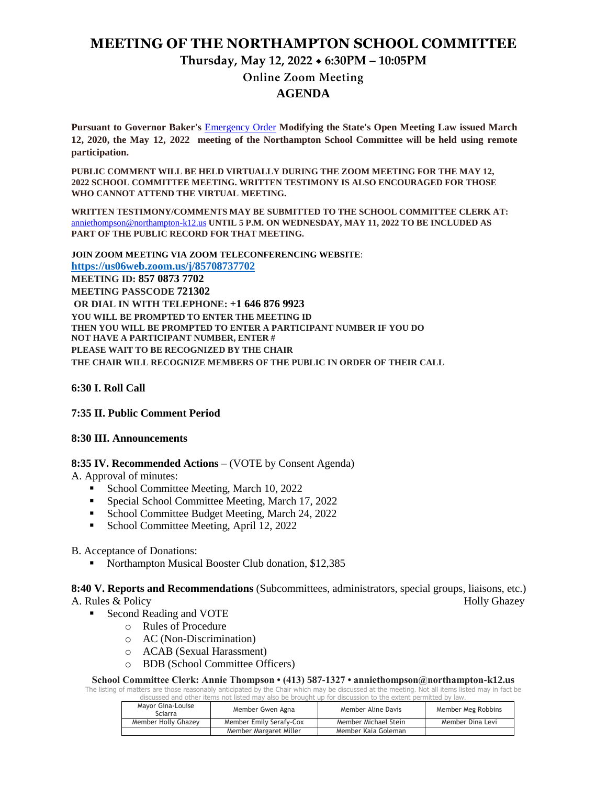# **MEETING OF THE NORTHAMPTON SCHOOL COMMITTEE**

# **Thursday, May 12, 2022 6:30PM – 10:05PM**

## **Online Zoom Meeting AGENDA**

**Pursuant to Governor Baker's** [Emergency Order](about:blank) **Modifying the State's Open Meeting Law issued March 12, 2020, the May 12, 2022 meeting of the Northampton School Committee will be held using remote participation.**

**PUBLIC COMMENT WILL BE HELD VIRTUALLY DURING THE ZOOM MEETING FOR THE MAY 12, 2022 SCHOOL COMMITTEE MEETING. WRITTEN TESTIMONY IS ALSO ENCOURAGED FOR THOSE WHO CANNOT ATTEND THE VIRTUAL MEETING.**

**WRITTEN TESTIMONY/COMMENTS MAY BE SUBMITTED TO THE SCHOOL COMMITTEE CLERK AT:** [anniethompson@northampton-k12.us](about:blank) **UNTIL 5 P.M. ON WEDNESDAY, MAY 11, 2022 TO BE INCLUDED AS PART OF THE PUBLIC RECORD FOR THAT MEETING.**

**JOIN ZOOM MEETING VIA ZOOM TELECONFERENCING WEBSITE**: **<https://us06web.zoom.us/j/85708737702> MEETING ID: 857 0873 7702 MEETING PASSCODE 721302 OR DIAL IN WITH TELEPHONE: +1 646 876 9923 YOU WILL BE PROMPTED TO ENTER THE MEETING ID THEN YOU WILL BE PROMPTED TO ENTER A PARTICIPANT NUMBER IF YOU DO NOT HAVE A PARTICIPANT NUMBER, ENTER # PLEASE WAIT TO BE RECOGNIZED BY THE CHAIR THE CHAIR WILL RECOGNIZE MEMBERS OF THE PUBLIC IN ORDER OF THEIR CALL**

**6:30 I. Roll Call** 

## **7:35 II. Public Comment Period**

#### **8:30 III. Announcements**

## **8:35 IV. Recommended Actions** – (VOTE by Consent Agenda)

A. Approval of minutes:

- School Committee Meeting, March 10, 2022
- Special School Committee Meeting, March 17, 2022
- School Committee Budget Meeting, March 24, 2022
- School Committee Meeting, April 12, 2022

#### B. Acceptance of Donations:

Northampton Musical Booster Club donation, \$12,385

**8:40 V. Reports and Recommendations** (Subcommittees, administrators, special groups, liaisons, etc.) A. Rules & Policy Holly Ghazey

- Second Reading and VOTE
	- o Rules of Procedure
	- o AC (Non-Discrimination)
	- o ACAB (Sexual Harassment)
	- o BDB (School Committee Officers)

**School Committee Clerk: Annie Thompson • (413) 587-1327 • anniethompson@northampton-k12.us**

The listing of matters are those reasonably anticipated by the Chair which may be discussed at the meeting. Not all items listed may in fact be discussed and other items not listed may also be brought up for discussion to the extent permitted by law.

| Mayor Gina-Louise<br>Sciarra | Member Gwen Agna        | Member Aline Davis   | Member Meg Robbins |
|------------------------------|-------------------------|----------------------|--------------------|
| Member Holly Ghazey          | Member Emily Serafy-Cox | Member Michael Stein | Member Dina Levi   |
|                              | Member Margaret Miller  | Member Kaia Goleman  |                    |